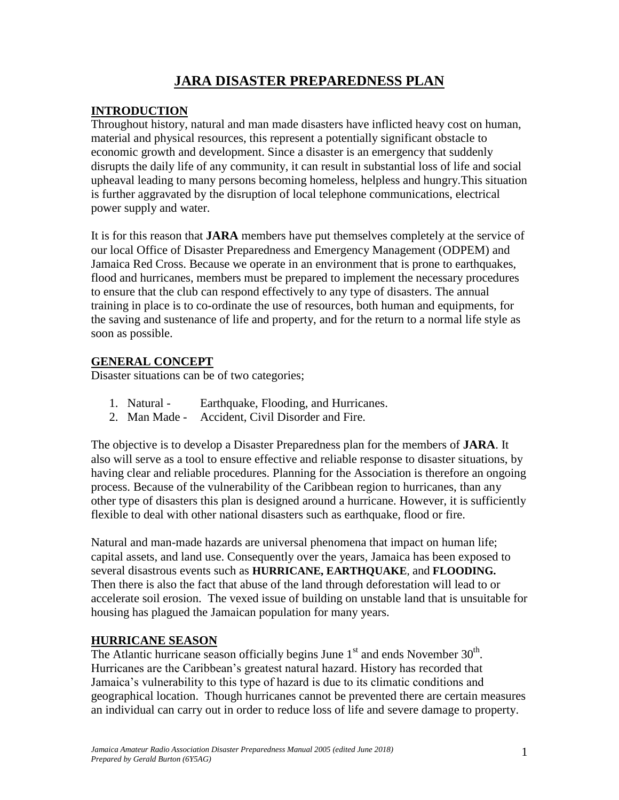# **JARA DISASTER PREPAREDNESS PLAN**

# **INTRODUCTION**

Throughout history, natural and man made disasters have inflicted heavy cost on human, material and physical resources, this represent a potentially significant obstacle to economic growth and development. Since a disaster is an emergency that suddenly disrupts the daily life of any community, it can result in substantial loss of life and social upheaval leading to many persons becoming homeless, helpless and hungry.This situation is further aggravated by the disruption of local telephone communications, electrical power supply and water.

It is for this reason that **JARA** members have put themselves completely at the service of our local Office of Disaster Preparedness and Emergency Management (ODPEM) and Jamaica Red Cross. Because we operate in an environment that is prone to earthquakes, flood and hurricanes, members must be prepared to implement the necessary procedures to ensure that the club can respond effectively to any type of disasters. The annual training in place is to co-ordinate the use of resources, both human and equipments, for the saving and sustenance of life and property, and for the return to a normal life style as soon as possible.

# **GENERAL CONCEPT**

Disaster situations can be of two categories;

- 1. Natural Earthquake, Flooding, and Hurricanes.
- 2. Man Made Accident, Civil Disorder and Fire.

The objective is to develop a Disaster Preparedness plan for the members of **JARA**. It also will serve as a tool to ensure effective and reliable response to disaster situations, by having clear and reliable procedures. Planning for the Association is therefore an ongoing process. Because of the vulnerability of the Caribbean region to hurricanes, than any other type of disasters this plan is designed around a hurricane. However, it is sufficiently flexible to deal with other national disasters such as earthquake, flood or fire.

Natural and man-made hazards are universal phenomena that impact on human life; capital assets, and land use. Consequently over the years, Jamaica has been exposed to several disastrous events such as **HURRICANE, EARTHQUAKE**, and **FLOODING.** Then there is also the fact that abuse of the land through deforestation will lead to or accelerate soil erosion. The vexed issue of building on unstable land that is unsuitable for housing has plagued the Jamaican population for many years.

## **HURRICANE SEASON**

The Atlantic hurricane season officially begins June  $1<sup>st</sup>$  and ends November  $30<sup>th</sup>$ . Hurricanes are the Caribbean's greatest natural hazard. History has recorded that Jamaica's vulnerability to this type of hazard is due to its climatic conditions and geographical location. Though hurricanes cannot be prevented there are certain measures an individual can carry out in order to reduce loss of life and severe damage to property.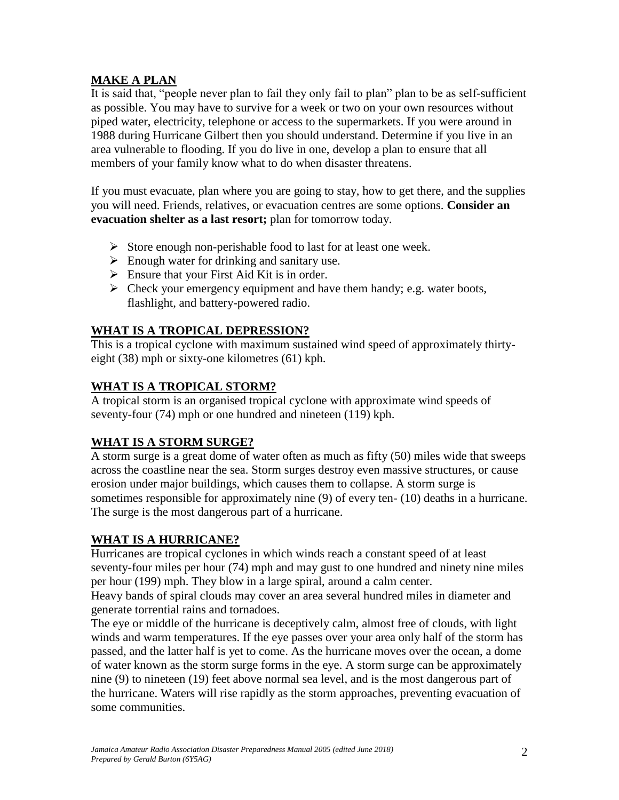# **MAKE A PLAN**

It is said that, "people never plan to fail they only fail to plan" plan to be as self-sufficient as possible. You may have to survive for a week or two on your own resources without piped water, electricity, telephone or access to the supermarkets. If you were around in 1988 during Hurricane Gilbert then you should understand. Determine if you live in an area vulnerable to flooding. If you do live in one, develop a plan to ensure that all members of your family know what to do when disaster threatens.

If you must evacuate, plan where you are going to stay, how to get there, and the supplies you will need. Friends, relatives, or evacuation centres are some options. **Consider an evacuation shelter as a last resort;** plan for tomorrow today.

- $\triangleright$  Store enough non-perishable food to last for at least one week.
- $\triangleright$  Enough water for drinking and sanitary use.
- $\triangleright$  Ensure that your First Aid Kit is in order.
- $\triangleright$  Check your emergency equipment and have them handy; e.g. water boots, flashlight, and battery-powered radio.

## **WHAT IS A TROPICAL DEPRESSION?**

This is a tropical cyclone with maximum sustained wind speed of approximately thirtyeight (38) mph or sixty-one kilometres (61) kph.

## **WHAT IS A TROPICAL STORM?**

A tropical storm is an organised tropical cyclone with approximate wind speeds of seventy-four (74) mph or one hundred and nineteen (119) kph.

# **WHAT IS A STORM SURGE?**

A storm surge is a great dome of water often as much as fifty (50) miles wide that sweeps across the coastline near the sea. Storm surges destroy even massive structures, or cause erosion under major buildings, which causes them to collapse. A storm surge is sometimes responsible for approximately nine (9) of every ten- (10) deaths in a hurricane. The surge is the most dangerous part of a hurricane.

## **WHAT IS A HURRICANE?**

Hurricanes are tropical cyclones in which winds reach a constant speed of at least seventy-four miles per hour (74) mph and may gust to one hundred and ninety nine miles per hour (199) mph. They blow in a large spiral, around a calm center.

Heavy bands of spiral clouds may cover an area several hundred miles in diameter and generate torrential rains and tornadoes.

The eye or middle of the hurricane is deceptively calm, almost free of clouds, with light winds and warm temperatures. If the eye passes over your area only half of the storm has passed, and the latter half is yet to come. As the hurricane moves over the ocean, a dome of water known as the storm surge forms in the eye. A storm surge can be approximately nine (9) to nineteen (19) feet above normal sea level, and is the most dangerous part of the hurricane. Waters will rise rapidly as the storm approaches, preventing evacuation of some communities.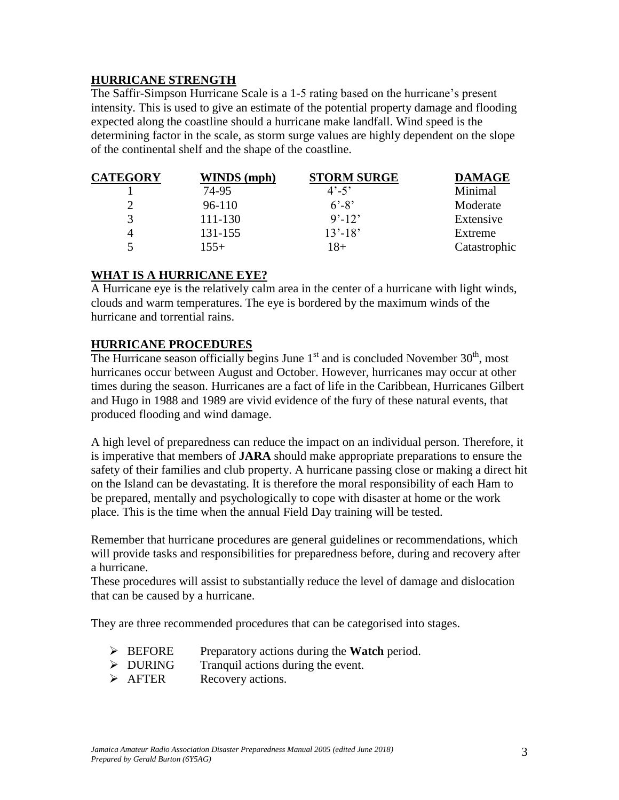### **HURRICANE STRENGTH**

The Saffir-Simpson Hurricane Scale is a 1-5 rating based on the hurricane's present intensity. This is used to give an estimate of the potential property damage and flooding expected along the coastline should a hurricane make landfall. Wind speed is the determining factor in the scale, as storm surge values are highly dependent on the slope of the continental shelf and the shape of the coastline.

| <b>CATEGORY</b> | WINDS (mph) | <b>STORM SURGE</b>      | <b>DAMAGE</b> |
|-----------------|-------------|-------------------------|---------------|
|                 | 74-95       | $4^{\circ} - 5^{\circ}$ | Minimal       |
|                 | $96-110$    | $6' - 8'$               | Moderate      |
| $\mathcal{R}$   | 111-130     | $9' - 12'$              | Extensive     |
| 4               | 131-155     | $13' - 18'$             | Extreme       |
|                 | $155+$      | 18+                     | Catastrophic  |

### **WHAT IS A HURRICANE EYE?**

A Hurricane eye is the relatively calm area in the center of a hurricane with light winds, clouds and warm temperatures. The eye is bordered by the maximum winds of the hurricane and torrential rains.

## **HURRICANE PROCEDURES**

The Hurricane season officially begins June  $1<sup>st</sup>$  and is concluded November  $30<sup>th</sup>$ , most hurricanes occur between August and October. However, hurricanes may occur at other times during the season. Hurricanes are a fact of life in the Caribbean, Hurricanes Gilbert and Hugo in 1988 and 1989 are vivid evidence of the fury of these natural events, that produced flooding and wind damage.

A high level of preparedness can reduce the impact on an individual person. Therefore, it is imperative that members of **JARA** should make appropriate preparations to ensure the safety of their families and club property. A hurricane passing close or making a direct hit on the Island can be devastating. It is therefore the moral responsibility of each Ham to be prepared, mentally and psychologically to cope with disaster at home or the work place. This is the time when the annual Field Day training will be tested.

Remember that hurricane procedures are general guidelines or recommendations, which will provide tasks and responsibilities for preparedness before, during and recovery after a hurricane.

These procedures will assist to substantially reduce the level of damage and dislocation that can be caused by a hurricane.

They are three recommended procedures that can be categorised into stages.

- BEFORE Preparatory actions during the **Watch** period.
- $\triangleright$  DURING Tranquil actions during the event.
- > AFTER Recovery actions.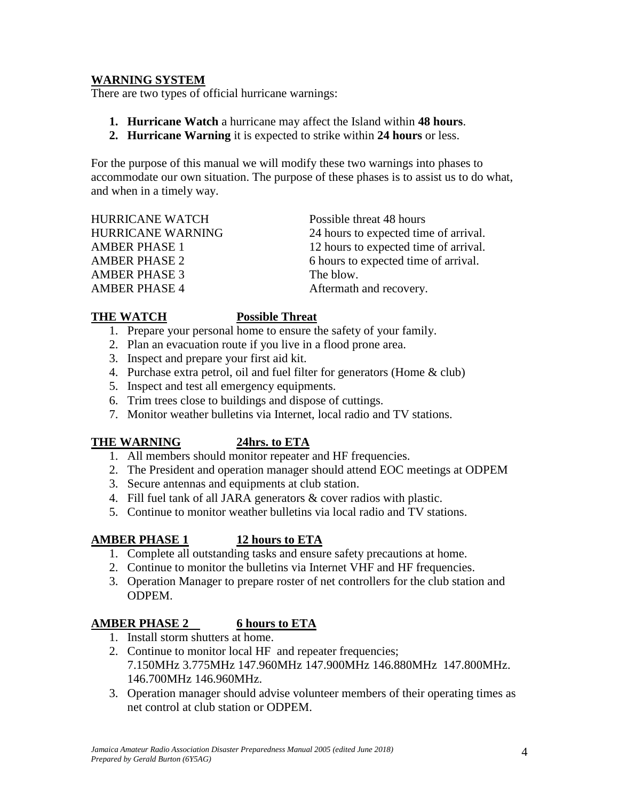### **WARNING SYSTEM**

There are two types of official hurricane warnings:

- **1. Hurricane Watch** a hurricane may affect the Island within **48 hours**.
- **2. Hurricane Warning** it is expected to strike within **24 hours** or less.

For the purpose of this manual we will modify these two warnings into phases to accommodate our own situation. The purpose of these phases is to assist us to do what, and when in a timely way.

HURRICANE WATCH Possible threat 48 hours AMBER PHASE 3 The blow. AMBER PHASE 4 Aftermath and recovery.

HURRICANE WARNING 24 hours to expected time of arrival. AMBER PHASE 1 12 hours to expected time of arrival. AMBER PHASE 2 6 hours to expected time of arrival.

### **THE WATCH Possible Threat**

- 1. Prepare your personal home to ensure the safety of your family.
- 2. Plan an evacuation route if you live in a flood prone area.
- 3. Inspect and prepare your first aid kit.
- 4. Purchase extra petrol, oil and fuel filter for generators (Home & club)
- 5. Inspect and test all emergency equipments.
- 6. Trim trees close to buildings and dispose of cuttings.
- 7. Monitor weather bulletins via Internet, local radio and TV stations.

### **THE WARNING 24hrs. to ETA**

- 1. All members should monitor repeater and HF frequencies.
- 2. The President and operation manager should attend EOC meetings at ODPEM
- 3. Secure antennas and equipments at club station.
- 4. Fill fuel tank of all JARA generators & cover radios with plastic.
- 5. Continue to monitor weather bulletins via local radio and TV stations.

## **AMBER PHASE 1 12 hours to ETA**

- 1. Complete all outstanding tasks and ensure safety precautions at home.
- 2. Continue to monitor the bulletins via Internet VHF and HF frequencies.
- 3. Operation Manager to prepare roster of net controllers for the club station and ODPEM.

## **AMBER PHASE 2 6 hours to ETA**

- 1. Install storm shutters at home.
- 2. Continue to monitor local HF and repeater frequencies; 7.150MHz 3.775MHz 147.960MHz 147.900MHz 146.880MHz 147.800MHz. 146.700MHz 146.960MHz.
- 3. Operation manager should advise volunteer members of their operating times as net control at club station or ODPEM.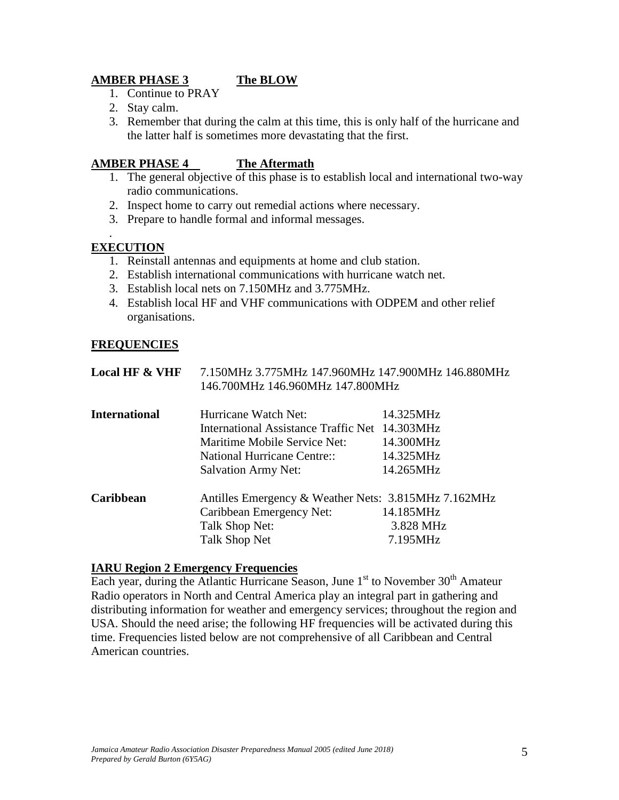# **AMBER PHASE 3 The BLOW**

- 1. Continue to PRAY
- 2. Stay calm.
- 3. Remember that during the calm at this time, this is only half of the hurricane and the latter half is sometimes more devastating that the first.

### **AMBER PHASE 4 The Aftermath**

- 1. The general objective of this phase is to establish local and international two-way radio communications.
- 2. Inspect home to carry out remedial actions where necessary.
- 3. Prepare to handle formal and informal messages.

# **EXECUTION**

.

- 1. Reinstall antennas and equipments at home and club station.
- 2. Establish international communications with hurricane watch net.
- 3. Establish local nets on 7.150MHz and 3.775MHz.
- 4. Establish local HF and VHF communications with ODPEM and other relief organisations.

## **FREQUENCIES**

|                           | 146.700MHz 146.960MHz 147.800MHz |                                                    |
|---------------------------|----------------------------------|----------------------------------------------------|
| <b>Local HF &amp; VHF</b> |                                  | 7.150MHz 3.775MHz 147.960MHz 147.900MHz 146.880MHz |

| <b>International</b> | Hurricane Watch Net:                                 | 14.325MHz |  |
|----------------------|------------------------------------------------------|-----------|--|
|                      | International Assistance Traffic Net 14.303MHz       | 14.300MHz |  |
|                      | Maritime Mobile Service Net:                         |           |  |
|                      | <b>National Hurricane Centre::</b>                   | 14.325MHz |  |
|                      | <b>Salvation Army Net:</b>                           | 14.265MHz |  |
| Caribbean            | Antilles Emergency & Weather Nets: 3.815MHz 7.162MHz |           |  |
|                      | Caribbean Emergency Net:                             | 14.185MHz |  |
|                      | Talk Shop Net:                                       | 3.828 MHz |  |
|                      | Talk Shop Net                                        | 7.195MHz  |  |

### **IARU Region 2 Emergency Frequencies**

Each year, during the Atlantic Hurricane Season, June  $1<sup>st</sup>$  to November  $30<sup>th</sup>$  Amateur Radio operators in North and Central America play an integral part in gathering and distributing information for weather and emergency services; throughout the region and USA. Should the need arise; the following HF frequencies will be activated during this time. Frequencies listed below are not comprehensive of all Caribbean and Central American countries.